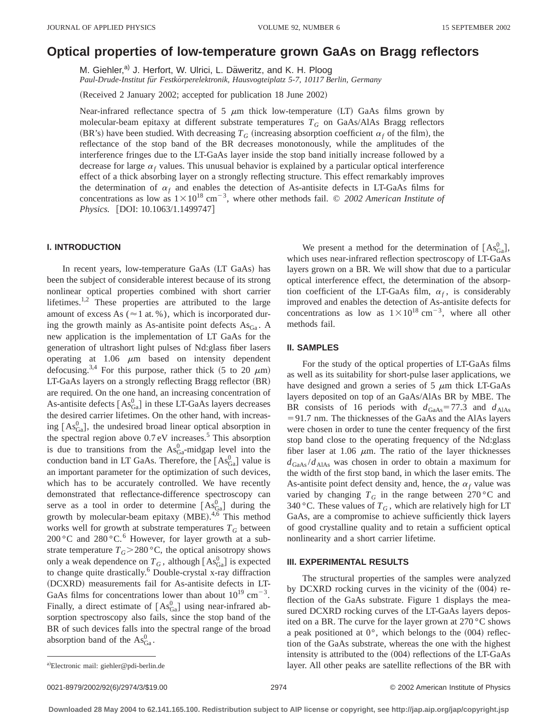# **Optical properties of low-temperature grown GaAs on Bragg reflectors**

M. Giehler,<sup>a)</sup> J. Herfort, W. Ulrici, L. Däweritz, and K. H. Ploog *Paul-Drude-Institut fu¨r Festko¨rperelektronik, Hausvogteiplatz 5-7, 10117 Berlin, Germany*

(Received 2 January 2002; accepted for publication 18 June 2002)

Near-infrared reflectance spectra of 5  $\mu$ m thick low-temperature (LT) GaAs films grown by molecular-beam epitaxy at different substrate temperatures *TG* on GaAs/AlAs Bragg reflectors (BR's) have been studied. With decreasing  $T_G$  (increasing absorption coefficient  $\alpha_f$  of the film), the reflectance of the stop band of the BR decreases monotonously, while the amplitudes of the interference fringes due to the LT-GaAs layer inside the stop band initially increase followed by a decrease for large  $\alpha_f$  values. This unusual behavior is explained by a particular optical interference effect of a thick absorbing layer on a strongly reflecting structure. This effect remarkably improves the determination of  $\alpha_f$  and enables the detection of As-antisite defects in LT-GaAs films for concentrations as low as  $1 \times 10^{18}$  cm<sup>-3</sup>, where other methods fail. © 2002 American Institute of *Physics.* [DOI: 10.1063/1.1499747]

# **I. INTRODUCTION**

In recent years, low-temperature GaAs (LT GaAs) has been the subject of considerable interest because of its strong nonlinear optical properties combined with short carrier lifetimes.<sup>1,2</sup> These properties are attributed to the large amount of excess As ( $\approx$  1 at. %), which is incorporated during the growth mainly as As-antisite point defects  $\text{As}_{\text{Ga}}$ . A new application is the implementation of LT GaAs for the generation of ultrashort light pulses of Nd:glass fiber lasers operating at  $1.06 \mu m$  based on intensity dependent defocusing.<sup>3,4</sup> For this purpose, rather thick (5 to 20  $\mu$ m) LT-GaAs layers on a strongly reflecting Bragg reflector (BR) are required. On the one hand, an increasing concentration of As-antisite defects  $[As_{Ga}^0]$  in these LT-GaAs layers decreases the desired carrier lifetimes. On the other hand, with increasing  $[As_{Ga}^0]$ , the undesired broad linear optical absorption in the spectral region above  $0.7 \text{ eV}$  increases.<sup>5</sup> This absorption is due to transitions from the  $\text{As}_{\text{Ga}}^0$ -midgap level into the conduction band in LT GaAs. Therefore, the  $[As_{Ga}^0]$  value is an important parameter for the optimization of such devices, which has to be accurately controlled. We have recently demonstrated that reflectance-difference spectroscopy can serve as a tool in order to determine  $[As_{Ga}^0]$  during the growth by molecular-beam epitaxy  $(MBE)$ .<sup>4,6</sup> This method works well for growth at substrate temperatures  $T_G$  between  $200\,^{\circ}$ C and  $280\,^{\circ}$ C.<sup>6</sup> However, for layer growth at a substrate temperature  $T_G$ >280 °C, the optical anisotropy shows only a weak dependence on  $T_G$ , although  $[{\rm As}_{Ga}^0]$  is expected to change quite drastically.<sup>6</sup> Double-crystal x-ray diffraction (DCXRD) measurements fail for As-antisite defects in LT-GaAs films for concentrations lower than about  $10^{19}$  cm<sup>-3</sup>. Finally, a direct estimate of  $[As_{Ga}^0]$  using near-infrared absorption spectroscopy also fails, since the stop band of the BR of such devices falls into the spectral range of the broad absorption band of the  $\text{As}^0_{\text{Ga}}$ .

We present a method for the determination of  $[As_{Ga}^0]$ , which uses near-infrared reflection spectroscopy of LT-GaAs layers grown on a BR. We will show that due to a particular optical interference effect, the determination of the absorption coefficient of the LT-GaAs film,  $\alpha_f$ , is considerably improved and enables the detection of As-antisite defects for concentrations as low as  $1 \times 10^{18}$  cm<sup>-3</sup>, where all other methods fail.

#### **II. SAMPLES**

For the study of the optical properties of LT-GaAs films as well as its suitability for short-pulse laser applications, we have designed and grown a series of  $5 \mu m$  thick LT-GaAs layers deposited on top of an GaAs/AlAs BR by MBE. The BR consists of 16 periods with  $d_{\text{GaAs}} = 77.3$  and  $d_{\text{AlAs}}$  $=$  91.7 nm. The thicknesses of the GaAs and the AlAs layers were chosen in order to tune the center frequency of the first stop band close to the operating frequency of the Nd:glass fiber laser at 1.06  $\mu$ m. The ratio of the layer thicknesses  $d_{\text{GaAs}}/d_{\text{AlAs}}$  was chosen in order to obtain a maximum for the width of the first stop band, in which the laser emits. The As-antisite point defect density and, hence, the  $\alpha_f$  value was varied by changing  $T_G$  in the range between 270 °C and 340 °C. These values of  $T_G$ , which are relatively high for LT GaAs, are a compromise to achieve sufficiently thick layers of good crystalline quality and to retain a sufficient optical nonlinearity and a short carrier lifetime.

#### **III. EXPERIMENTAL RESULTS**

The structural properties of the samples were analyzed by DCXRD rocking curves in the vicinity of the  $(004)$  reflection of the GaAs substrate. Figure 1 displays the measured DCXRD rocking curves of the LT-GaAs layers deposited on a BR. The curve for the layer grown at 270 °C shows a peak positioned at  $0^{\circ}$ , which belongs to the  $(004)$  reflection of the GaAs substrate, whereas the one with the highest intensity is attributed to the  $(004)$  reflections of the LT-GaAs layer. All other peaks are satellite reflections of the BR with

0021-8979/2002/92(6)/2974/3/\$19.00 © 2002 American Institute of Physics 2974

a)Electronic mail: giehler@pdi-berlin.de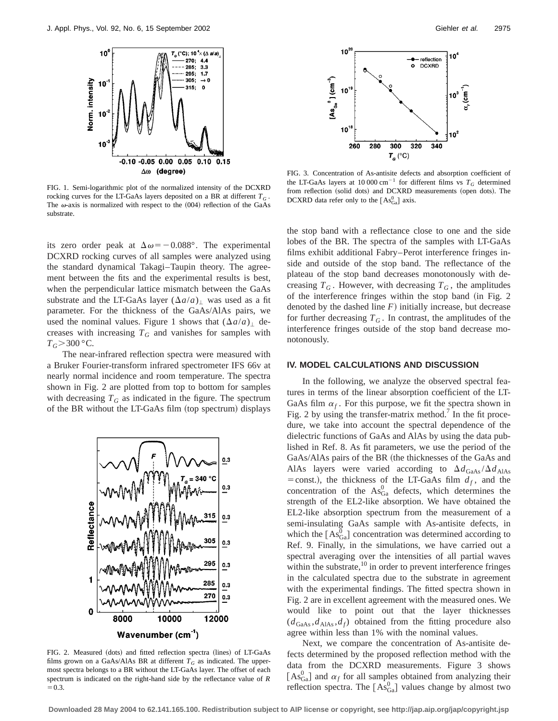

FIG. 1. Semi-logarithmic plot of the normalized intensity of the DCXRD rocking curves for the LT-GaAs layers deposited on a BR at different  $T_G$ . The  $\omega$ -axis is normalized with respect to the  $(004)$  reflection of the GaAs substrate.

its zero order peak at  $\Delta \omega = -0.088$ °. The experimental DCXRD rocking curves of all samples were analyzed using the standard dynamical Takagi–Taupin theory. The agreement between the fits and the experimental results is best, when the perpendicular lattice mismatch between the GaAs substrate and the LT-GaAs layer  $(\Delta a/a)$  was used as a fit parameter. For the thickness of the GaAs/AlAs pairs, we used the nominal values. Figure 1 shows that  $(\Delta a/a)_{\perp}$  decreases with increasing  $T_G$  and vanishes for samples with  $T_G$ >300 °C.

The near-infrared reflection spectra were measured with a Bruker Fourier-transform infrared spectrometer IFS 66v at nearly normal incidence and room temperature. The spectra shown in Fig. 2 are plotted from top to bottom for samples with decreasing  $T_G$  as indicated in the figure. The spectrum of the BR without the LT-GaAs film (top spectrum) displays



FIG. 2. Measured (dots) and fitted reflection spectra (lines) of LT-GaAs films grown on a GaAs/AlAs BR at different  $T_G$  as indicated. The uppermost spectra belongs to a BR without the LT-GaAs layer. The offset of each spectrum is indicated on the right-hand side by the reflectance value of *R*  $= 0.3.$ 



FIG. 3. Concentration of As-antisite defects and absorption coefficient of the LT-GaAs layers at 10 000 cm<sup>-1</sup> for different films vs  $T_G$  determined from reflection (solid dots) and DCXRD measurements (open dots). The DCXRD data refer only to the  $[As<sub>Ga</sub><sup>0</sup>]$  axis.

the stop band with a reflectance close to one and the side lobes of the BR. The spectra of the samples with LT-GaAs films exhibit additional Fabry–Perot interference fringes inside and outside of the stop band. The reflectance of the plateau of the stop band decreases monotonously with decreasing  $T_G$ . However, with decreasing  $T_G$ , the amplitudes of the interference fringes within the stop band  $(in$  Fig. 2 denoted by the dashed line  $F$ ) initially increase, but decrease for further decreasing  $T_G$ . In contrast, the amplitudes of the interference fringes outside of the stop band decrease monotonously.

### **IV. MODEL CALCULATIONS AND DISCUSSION**

In the following, we analyze the observed spectral features in terms of the linear absorption coefficient of the LT-GaAs film  $\alpha_f$ . For this purpose, we fit the spectra shown in Fig. 2 by using the transfer-matrix method.<sup>7</sup> In the fit procedure, we take into account the spectral dependence of the dielectric functions of GaAs and AlAs by using the data published in Ref. 8. As fit parameters, we use the period of the GaAs/AlAs pairs of the BR (the thicknesses of the GaAs and AlAs layers were varied according to  $\Delta d_{\text{GaAs}}/\Delta d_{\text{AlAs}}$  $=$  const.), the thickness of the LT-GaAs film  $d_f$ , and the concentration of the  $\text{As}_{\text{Ga}}^0$  defects, which determines the strength of the EL2-like absorption. We have obtained the EL2-like absorption spectrum from the measurement of a semi-insulating GaAs sample with As-antisite defects, in which the  $[As_{Ga}^{\overline{0}}]$  concentration was determined according to Ref. 9. Finally, in the simulations, we have carried out a spectral averaging over the intensities of all partial waves within the substrate, $^{10}$  in order to prevent interference fringes in the calculated spectra due to the substrate in agreement with the experimental findings. The fitted spectra shown in Fig. 2 are in excellent agreement with the measured ones. We would like to point out that the layer thicknesses  $(d_{\text{GaAs}}, d_{\text{AlAs}}, d_f)$  obtained from the fitting procedure also agree within less than 1% with the nominal values.

Next, we compare the concentration of As-antisite defects determined by the proposed reflection method with the data from the DCXRD measurements. Figure 3 shows  $[As_{Ga}^0]$  and  $\alpha_f$  for all samples obtained from analyzing their reflection spectra. The  $[A_8^0]$  values change by almost two